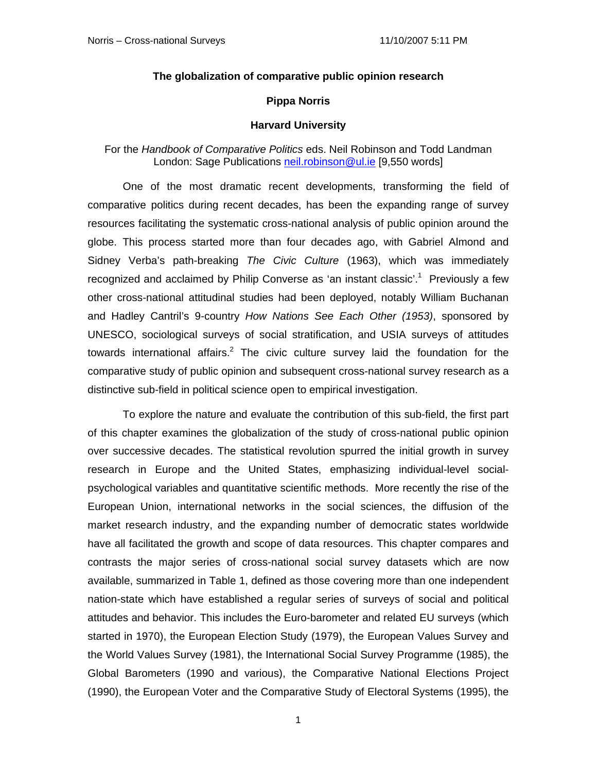#### **The globalization of comparative public opinion research**

#### **Pippa Norris**

#### **Harvard University**

For the *Handbook of Comparative Politics* eds. Neil Robinson and Todd Landman London: Sage Publications neil.robinson@ul.ie [9,550 words]

One of the most dramatic recent developments, transforming the field of comparative politics during recent decades, has been the expanding range of survey resources facilitating the systematic cross-national analysis of public opinion around the globe. This process started more than four decades ago, with Gabriel Almond and Sidney Verba's path-breaking *The Civic Culture* (1963), which was immediately recognized and acclaimed by Philip Converse as 'an instant classic'.<sup>1</sup> Previously a few other cross-national attitudinal studies had been deployed, notably William Buchanan and Hadley Cantril's 9-country *How Nations See Each Other (1953)*, sponsored by UNESCO, sociological surveys of social stratification, and USIA surveys of attitudes towards international affairs.<sup>2</sup> The civic culture survey laid the foundation for the comparative study of public opinion and subsequent cross-national survey research as a distinctive sub-field in political science open to empirical investigation.

To explore the nature and evaluate the contribution of this sub-field, the first part of this chapter examines the globalization of the study of cross-national public opinion over successive decades. The statistical revolution spurred the initial growth in survey research in Europe and the United States, emphasizing individual-level socialpsychological variables and quantitative scientific methods. More recently the rise of the European Union, international networks in the social sciences, the diffusion of the market research industry, and the expanding number of democratic states worldwide have all facilitated the growth and scope of data resources. This chapter compares and contrasts the major series of cross-national social survey datasets which are now available, summarized in Table 1, defined as those covering more than one independent nation-state which have established a regular series of surveys of social and political attitudes and behavior. This includes the Euro-barometer and related EU surveys (which started in 1970), the European Election Study (1979), the European Values Survey and the World Values Survey (1981), the International Social Survey Programme (1985), the Global Barometers (1990 and various), the Comparative National Elections Project (1990), the European Voter and the Comparative Study of Electoral Systems (1995), the

<u>1999 - Johann John Stein, Amerikaansk politiker (</u>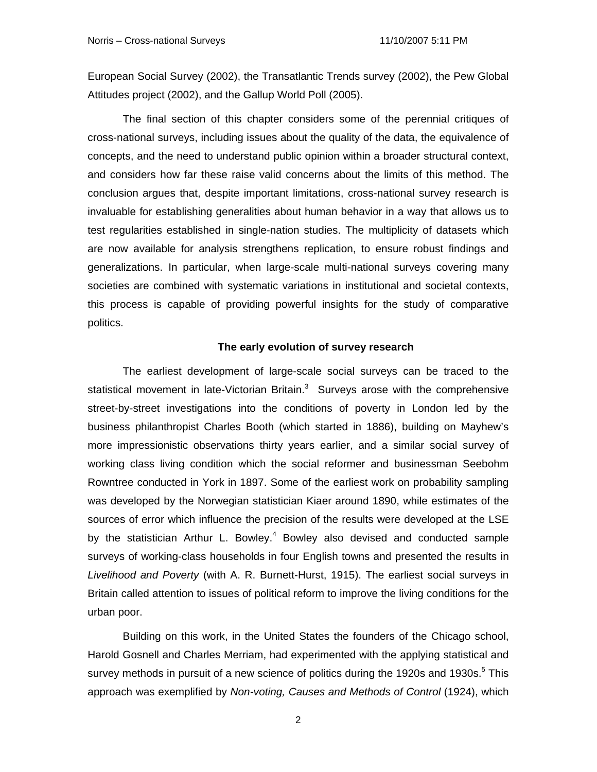European Social Survey (2002), the Transatlantic Trends survey (2002), the Pew Global Attitudes project (2002), and the Gallup World Poll (2005).

The final section of this chapter considers some of the perennial critiques of cross-national surveys, including issues about the quality of the data, the equivalence of concepts, and the need to understand public opinion within a broader structural context, and considers how far these raise valid concerns about the limits of this method. The conclusion argues that, despite important limitations, cross-national survey research is invaluable for establishing generalities about human behavior in a way that allows us to test regularities established in single-nation studies. The multiplicity of datasets which are now available for analysis strengthens replication, to ensure robust findings and generalizations. In particular, when large-scale multi-national surveys covering many societies are combined with systematic variations in institutional and societal contexts, this process is capable of providing powerful insights for the study of comparative politics.

#### **The early evolution of survey research**

The earliest development of large-scale social surveys can be traced to the statistical movement in late-Victorian Britain. $3$  Surveys arose with the comprehensive street-by-street investigations into the conditions of poverty in London led by the business philanthropist Charles Booth (which started in 1886), building on Mayhew's more impressionistic observations thirty years earlier, and a similar social survey of working class living condition which the social reformer and businessman Seebohm Rowntree conducted in York in 1897. Some of the earliest work on probability sampling was developed by the Norwegian statistician Kiaer around 1890, while estimates of the sources of error which influence the precision of the results were developed at the LSE by the statistician Arthur L. Bowley.<sup>4</sup> Bowley also devised and conducted sample surveys of working-class households in four English towns and presented the results in *Livelihood and Poverty* (with A. R. Burnett-Hurst, 1915). The earliest social surveys in Britain called attention to issues of political reform to improve the living conditions for the urban poor.

Building on this work, in the United States the founders of the Chicago school, Harold Gosnell and Charles Merriam, had experimented with the applying statistical and survey methods in pursuit of a new science of politics during the 1920s and 1930s.<sup>5</sup> This approach was exemplified by *Non-voting, Causes and Methods of Control* (1924), which

2 and 2 and 2 and 2 and 2 and 2 and 2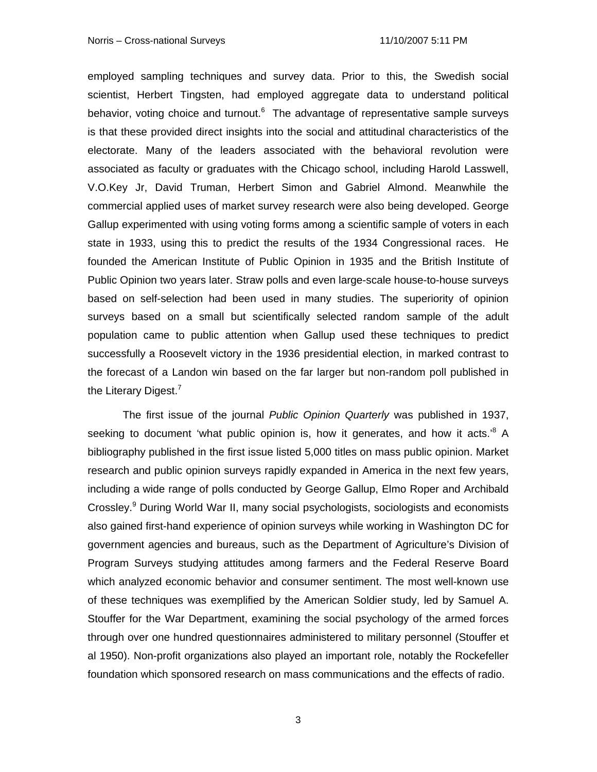employed sampling techniques and survey data. Prior to this, the Swedish social scientist, Herbert Tingsten, had employed aggregate data to understand political behavior, voting choice and turnout.<sup>6</sup> The advantage of representative sample surveys is that these provided direct insights into the social and attitudinal characteristics of the electorate. Many of the leaders associated with the behavioral revolution were associated as faculty or graduates with the Chicago school, including Harold Lasswell, V.O.Key Jr, David Truman, Herbert Simon and Gabriel Almond. Meanwhile the commercial applied uses of market survey research were also being developed. George Gallup experimented with using voting forms among a scientific sample of voters in each state in 1933, using this to predict the results of the 1934 Congressional races. He founded the American Institute of Public Opinion in 1935 and the British Institute of Public Opinion two years later. Straw polls and even large-scale house-to-house surveys based on self-selection had been used in many studies. The superiority of opinion surveys based on a small but scientifically selected random sample of the adult population came to public attention when Gallup used these techniques to predict successfully a Roosevelt victory in the 1936 presidential election, in marked contrast to the forecast of a Landon win based on the far larger but non-random poll published in the Literary Digest.<sup>7</sup>

The first issue of the journal *Public Opinion Quarterly* was published in 1937, seeking to document 'what public opinion is, how it generates, and how it acts.'<sup>8</sup> A bibliography published in the first issue listed 5,000 titles on mass public opinion. Market research and public opinion surveys rapidly expanded in America in the next few years, including a wide range of polls conducted by George Gallup, Elmo Roper and Archibald Crossley.<sup>9</sup> During World War II, many social psychologists, sociologists and economists also gained first-hand experience of opinion surveys while working in Washington DC for government agencies and bureaus, such as the Department of Agriculture's Division of Program Surveys studying attitudes among farmers and the Federal Reserve Board which analyzed economic behavior and consumer sentiment. The most well-known use of these techniques was exemplified by the American Soldier study, led by Samuel A. Stouffer for the War Department, examining the social psychology of the armed forces through over one hundred questionnaires administered to military personnel (Stouffer et al 1950). Non-profit organizations also played an important role, notably the Rockefeller foundation which sponsored research on mass communications and the effects of radio.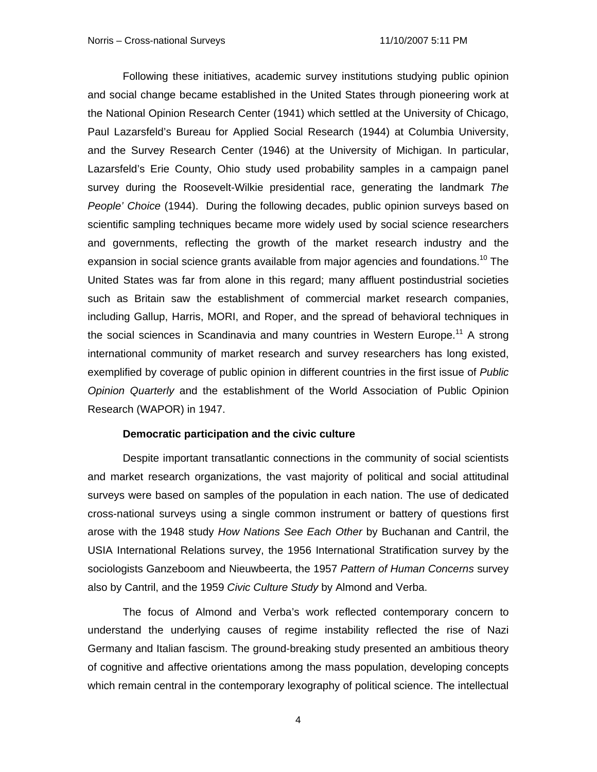Following these initiatives, academic survey institutions studying public opinion and social change became established in the United States through pioneering work at the National Opinion Research Center (1941) which settled at the University of Chicago, Paul Lazarsfeld's Bureau for Applied Social Research (1944) at Columbia University, and the Survey Research Center (1946) at the University of Michigan. In particular, Lazarsfeld's Erie County, Ohio study used probability samples in a campaign panel survey during the Roosevelt-Wilkie presidential race, generating the landmark *The People' Choice* (1944). During the following decades, public opinion surveys based on scientific sampling techniques became more widely used by social science researchers and governments, reflecting the growth of the market research industry and the expansion in social science grants available from major agencies and foundations.<sup>10</sup> The United States was far from alone in this regard; many affluent postindustrial societies such as Britain saw the establishment of commercial market research companies, including Gallup, Harris, MORI, and Roper, and the spread of behavioral techniques in the social sciences in Scandinavia and many countries in Western Europe.<sup>11</sup> A strong international community of market research and survey researchers has long existed, exemplified by coverage of public opinion in different countries in the first issue of *Public Opinion Quarterly* and the establishment of the World Association of Public Opinion Research (WAPOR) in 1947.

### **Democratic participation and the civic culture**

Despite important transatlantic connections in the community of social scientists and market research organizations, the vast majority of political and social attitudinal surveys were based on samples of the population in each nation. The use of dedicated cross-national surveys using a single common instrument or battery of questions first arose with the 1948 study *How Nations See Each Other* by Buchanan and Cantril, the USIA International Relations survey, the 1956 International Stratification survey by the sociologists Ganzeboom and Nieuwbeerta, the 1957 *Pattern of Human Concerns* survey also by Cantril, and the 1959 *Civic Culture Study* by Almond and Verba.

The focus of Almond and Verba's work reflected contemporary concern to understand the underlying causes of regime instability reflected the rise of Nazi Germany and Italian fascism. The ground-breaking study presented an ambitious theory of cognitive and affective orientations among the mass population, developing concepts which remain central in the contemporary lexography of political science. The intellectual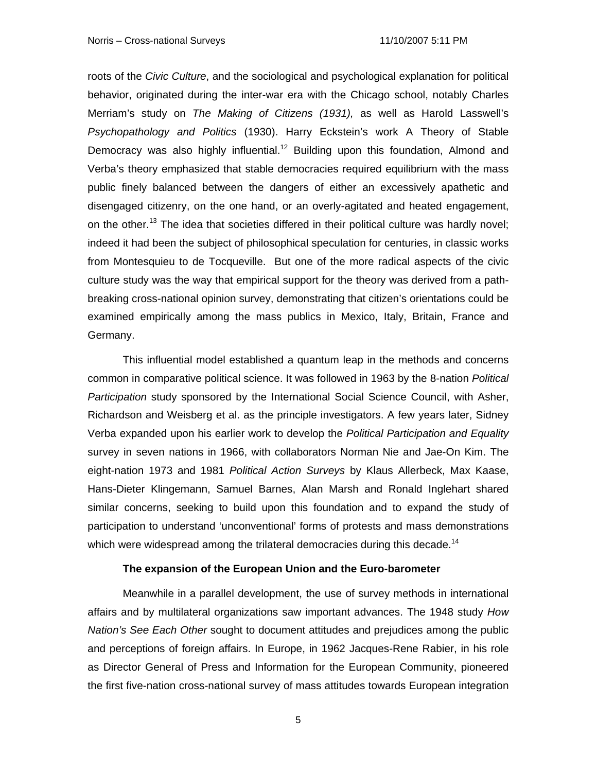roots of the *Civic Culture*, and the sociological and psychological explanation for political behavior, originated during the inter-war era with the Chicago school, notably Charles Merriam's study on *The Making of Citizens (1931),* as well as Harold Lasswell's *Psychopathology and Politics* (1930). Harry Eckstein's work A Theory of Stable Democracy was also highly influential.<sup>12</sup> Building upon this foundation, Almond and Verba's theory emphasized that stable democracies required equilibrium with the mass public finely balanced between the dangers of either an excessively apathetic and disengaged citizenry, on the one hand, or an overly-agitated and heated engagement, on the other.<sup>13</sup> The idea that societies differed in their political culture was hardly novel; indeed it had been the subject of philosophical speculation for centuries, in classic works from Montesquieu to de Tocqueville. But one of the more radical aspects of the civic culture study was the way that empirical support for the theory was derived from a pathbreaking cross-national opinion survey, demonstrating that citizen's orientations could be examined empirically among the mass publics in Mexico, Italy, Britain, France and Germany.

This influential model established a quantum leap in the methods and concerns common in comparative political science. It was followed in 1963 by the 8-nation *Political Participation* study sponsored by the International Social Science Council, with Asher, Richardson and Weisberg et al. as the principle investigators. A few years later, Sidney Verba expanded upon his earlier work to develop the *Political Participation and Equality* survey in seven nations in 1966, with collaborators Norman Nie and Jae-On Kim. The eight-nation 1973 and 1981 *Political Action Surveys* by Klaus Allerbeck, Max Kaase, Hans-Dieter Klingemann, Samuel Barnes, Alan Marsh and Ronald Inglehart shared similar concerns, seeking to build upon this foundation and to expand the study of participation to understand 'unconventional' forms of protests and mass demonstrations which were widespread among the trilateral democracies during this decade.<sup>14</sup>

## **The expansion of the European Union and the Euro-barometer**

Meanwhile in a parallel development, the use of survey methods in international affairs and by multilateral organizations saw important advances. The 1948 study *How Nation's See Each Other* sought to document attitudes and prejudices among the public and perceptions of foreign affairs. In Europe, in 1962 Jacques-Rene Rabier, in his role as Director General of Press and Information for the European Community, pioneered the first five-nation cross-national survey of mass attitudes towards European integration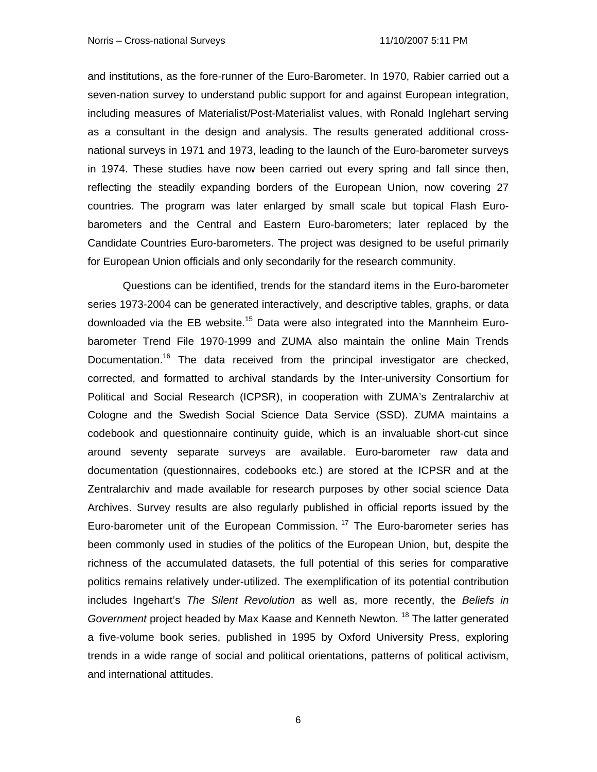and institutions, as the fore-runner of the Euro-Barometer. In 1970, Rabier carried out a seven-nation survey to understand public support for and against European integration, including measures of Materialist/Post-Materialist values, with Ronald Inglehart serving as a consultant in the design and analysis. The results generated additional crossnational surveys in 1971 and 1973, leading to the launch of the Euro-barometer surveys in 1974. These studies have now been carried out every spring and fall since then, reflecting the steadily expanding borders of the European Union, now covering 27 countries. The program was later enlarged by small scale but topical Flash Eurobarometers and the Central and Eastern Euro-barometers; later replaced by the Candidate Countries Euro-barometers. The project was designed to be useful primarily for European Union officials and only secondarily for the research community.

Questions can be identified, trends for the standard items in the Euro-barometer series 1973-2004 can be generated interactively, and descriptive tables, graphs, or data downloaded via the EB website.<sup>15</sup> Data were also integrated into the Mannheim Eurobarometer Trend File 1970-1999 and ZUMA also maintain the online Main Trends Documentation.<sup>16</sup> The data received from the principal investigator are checked, corrected, and formatted to archival standards by the Inter-university Consortium for Political and Social Research (ICPSR), in cooperation with ZUMA's Zentralarchiv at Cologne and the Swedish Social Science Data Service (SSD). ZUMA maintains a codebook and questionnaire continuity guide, which is an invaluable short-cut since around seventy separate surveys are available. Euro-barometer raw data and documentation (questionnaires, codebooks etc.) are stored at the ICPSR and at the Zentralarchiv and made available for research purposes by other social science Data Archives. Survey results are also regularly published in official reports issued by the Euro-barometer unit of the European Commission.<sup>17</sup> The Euro-barometer series has been commonly used in studies of the politics of the European Union, but, despite the richness of the accumulated datasets, the full potential of this series for comparative politics remains relatively under-utilized. The exemplification of its potential contribution includes Ingehart's *The Silent Revolution* as well as, more recently, the *Beliefs in Government* project headed by Max Kaase and Kenneth Newton.<sup>18</sup> The latter generated a five-volume book series, published in 1995 by Oxford University Press, exploring trends in a wide range of social and political orientations, patterns of political activism, and international attitudes.

 $\sim$  600  $\sim$  600  $\sim$  600  $\sim$  600  $\sim$  600  $\sim$  600  $\sim$  600  $\sim$  600  $\sim$  600  $\sim$  600  $\sim$  600  $\sim$  600  $\sim$  600  $\sim$  600  $\sim$  600  $\sim$  600  $\sim$  600  $\sim$  600  $\sim$  600  $\sim$  600  $\sim$  600  $\sim$  600  $\sim$  600  $\sim$  600  $\sim$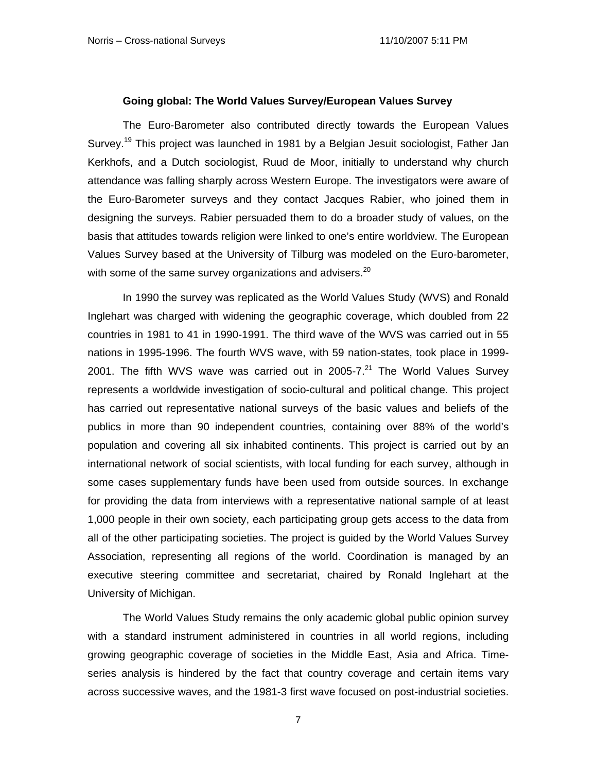#### **Going global: The World Values Survey/European Values Survey**

The Euro-Barometer also contributed directly towards the European Values Survey.<sup>19</sup> This project was launched in 1981 by a Belgian Jesuit sociologist, Father Jan Kerkhofs, and a Dutch sociologist, Ruud de Moor, initially to understand why church attendance was falling sharply across Western Europe. The investigators were aware of the Euro-Barometer surveys and they contact Jacques Rabier, who joined them in designing the surveys. Rabier persuaded them to do a broader study of values, on the basis that attitudes towards religion were linked to one's entire worldview. The European Values Survey based at the University of Tilburg was modeled on the Euro-barometer, with some of the same survey organizations and advisers.<sup>20</sup>

In 1990 the survey was replicated as the World Values Study (WVS) and Ronald Inglehart was charged with widening the geographic coverage, which doubled from 22 countries in 1981 to 41 in 1990-1991. The third wave of the WVS was carried out in 55 nations in 1995-1996. The fourth WVS wave, with 59 nation-states, took place in 1999- 2001. The fifth WVS wave was carried out in 2005-7. $^{21}$  The World Values Survev represents a worldwide investigation of socio-cultural and political change. This project has carried out representative national surveys of the basic values and beliefs of the publics in more than 90 independent countries, containing over 88% of the world's population and covering all six inhabited continents. This project is carried out by an international network of social scientists, with local funding for each survey, although in some cases supplementary funds have been used from outside sources. In exchange for providing the data from interviews with a representative national sample of at least 1,000 people in their own society, each participating group gets access to the data from all of the other participating societies. The project is guided by the World Values Survey Association, representing all regions of the world. Coordination is managed by an executive steering committee and secretariat, chaired by Ronald Inglehart at the University of Michigan.

The World Values Study remains the only academic global public opinion survey with a standard instrument administered in countries in all world regions, including growing geographic coverage of societies in the Middle East, Asia and Africa. Timeseries analysis is hindered by the fact that country coverage and certain items vary across successive waves, and the 1981-3 first wave focused on post-industrial societies.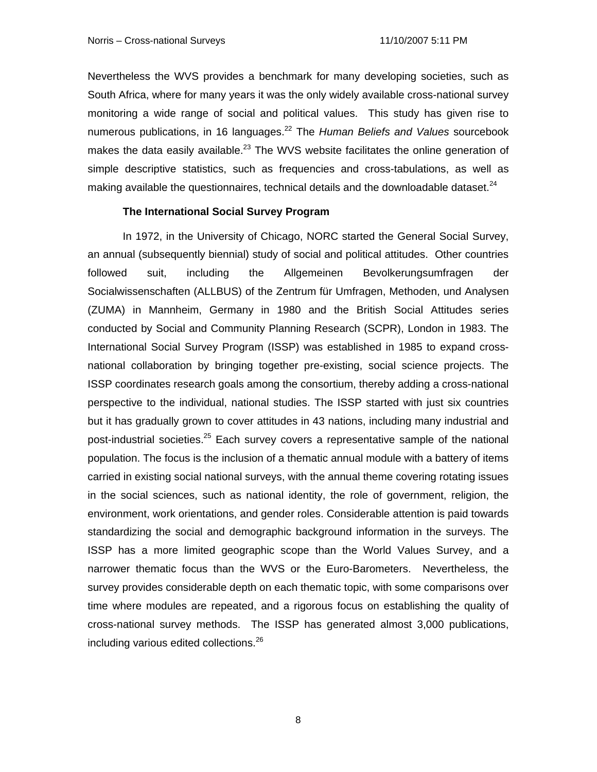Nevertheless the WVS provides a benchmark for many developing societies, such as South Africa, where for many years it was the only widely available cross-national survey monitoring a wide range of social and political values. This study has given rise to numerous publications, in 16 languages.22 The *Human Beliefs and Values* sourcebook makes the data easily available. $^{23}$  The WVS website facilitates the online generation of simple descriptive statistics, such as frequencies and cross-tabulations, as well as making available the questionnaires, technical details and the downloadable dataset. $24$ 

## **The International Social Survey Program**

In 1972, in the University of Chicago, NORC started the General Social Survey, an annual (subsequently biennial) study of social and political attitudes. Other countries followed suit, including the Allgemeinen Bevolkerungsumfragen der Socialwissenschaften (ALLBUS) of the Zentrum für Umfragen, Methoden, und Analysen (ZUMA) in Mannheim, Germany in 1980 and the British Social Attitudes series conducted by Social and Community Planning Research (SCPR), London in 1983. The International Social Survey Program (ISSP) was established in 1985 to expand crossnational collaboration by bringing together pre-existing, social science projects. The ISSP coordinates research goals among the consortium, thereby adding a cross-national perspective to the individual, national studies. The ISSP started with just six countries but it has gradually grown to cover attitudes in 43 nations, including many industrial and post-industrial societies.<sup>25</sup> Each survey covers a representative sample of the national population. The focus is the inclusion of a thematic annual module with a battery of items carried in existing social national surveys, with the annual theme covering rotating issues in the social sciences, such as national identity, the role of government, religion, the environment, work orientations, and gender roles. Considerable attention is paid towards standardizing the social and demographic background information in the surveys. The ISSP has a more limited geographic scope than the World Values Survey, and a narrower thematic focus than the WVS or the Euro-Barometers. Nevertheless, the survey provides considerable depth on each thematic topic, with some comparisons over time where modules are repeated, and a rigorous focus on establishing the quality of cross-national survey methods. The ISSP has generated almost 3,000 publications, including various edited collections.<sup>26</sup>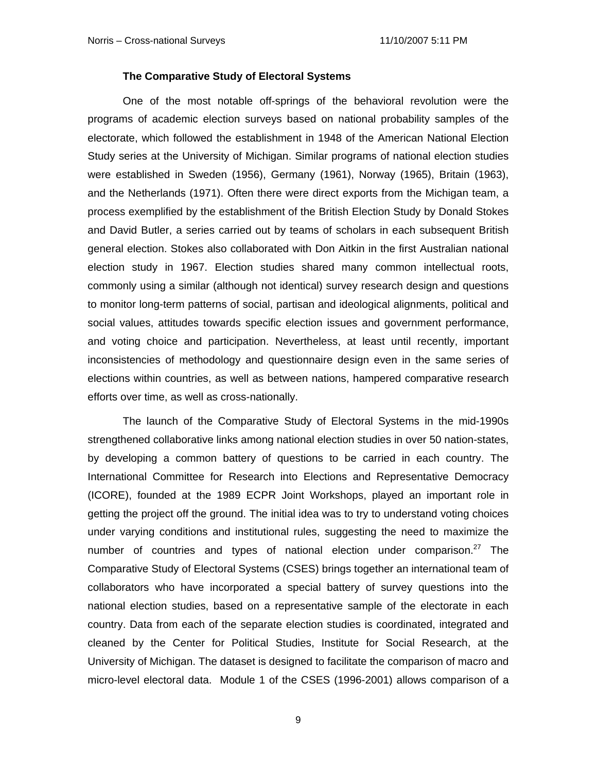#### **The Comparative Study of Electoral Systems**

One of the most notable off-springs of the behavioral revolution were the programs of academic election surveys based on national probability samples of the electorate, which followed the establishment in 1948 of the American National Election Study series at the University of Michigan. Similar programs of national election studies were established in Sweden (1956), Germany (1961), Norway (1965), Britain (1963), and the Netherlands (1971). Often there were direct exports from the Michigan team, a process exemplified by the establishment of the British Election Study by Donald Stokes and David Butler, a series carried out by teams of scholars in each subsequent British general election. Stokes also collaborated with Don Aitkin in the first Australian national election study in 1967. Election studies shared many common intellectual roots, commonly using a similar (although not identical) survey research design and questions to monitor long-term patterns of social, partisan and ideological alignments, political and social values, attitudes towards specific election issues and government performance, and voting choice and participation. Nevertheless, at least until recently, important inconsistencies of methodology and questionnaire design even in the same series of elections within countries, as well as between nations, hampered comparative research efforts over time, as well as cross-nationally.

The launch of the Comparative Study of Electoral Systems in the mid-1990s strengthened collaborative links among national election studies in over 50 nation-states, by developing a common battery of questions to be carried in each country. The International Committee for Research into Elections and Representative Democracy (ICORE), founded at the 1989 ECPR Joint Workshops, played an important role in getting the project off the ground. The initial idea was to try to understand voting choices under varying conditions and institutional rules, suggesting the need to maximize the number of countries and types of national election under comparison.<sup>27</sup> The Comparative Study of Electoral Systems (CSES) brings together an international team of collaborators who have incorporated a special battery of survey questions into the national election studies, based on a representative sample of the electorate in each country. Data from each of the separate election studies is coordinated, integrated and cleaned by the Center for Political Studies, Institute for Social Research, at the University of Michigan. The dataset is designed to facilitate the comparison of macro and micro-level electoral data. Module 1 of the CSES (1996-2001) allows comparison of a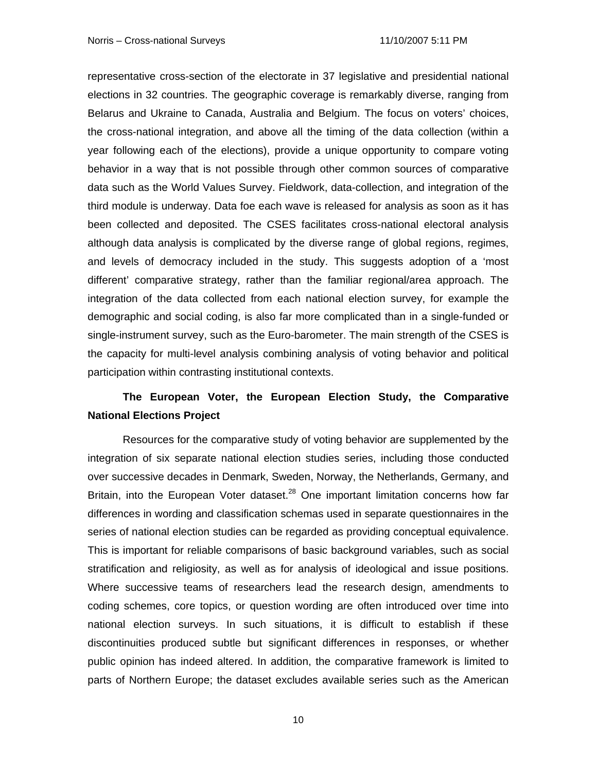representative cross-section of the electorate in 37 legislative and presidential national elections in 32 countries. The geographic coverage is remarkably diverse, ranging from Belarus and Ukraine to Canada, Australia and Belgium. The focus on voters' choices, the cross-national integration, and above all the timing of the data collection (within a year following each of the elections), provide a unique opportunity to compare voting behavior in a way that is not possible through other common sources of comparative data such as the World Values Survey. Fieldwork, data-collection, and integration of the third module is underway. Data foe each wave is released for analysis as soon as it has been collected and deposited. The CSES facilitates cross-national electoral analysis although data analysis is complicated by the diverse range of global regions, regimes, and levels of democracy included in the study. This suggests adoption of a 'most different' comparative strategy, rather than the familiar regional/area approach. The integration of the data collected from each national election survey, for example the demographic and social coding, is also far more complicated than in a single-funded or single-instrument survey, such as the Euro-barometer. The main strength of the CSES is the capacity for multi-level analysis combining analysis of voting behavior and political participation within contrasting institutional contexts.

# **The European Voter, the European Election Study, the Comparative National Elections Project**

Resources for the comparative study of voting behavior are supplemented by the integration of six separate national election studies series, including those conducted over successive decades in Denmark, Sweden, Norway, the Netherlands, Germany, and Britain, into the European Voter dataset.<sup>28</sup> One important limitation concerns how far differences in wording and classification schemas used in separate questionnaires in the series of national election studies can be regarded as providing conceptual equivalence. This is important for reliable comparisons of basic background variables, such as social stratification and religiosity, as well as for analysis of ideological and issue positions. Where successive teams of researchers lead the research design, amendments to coding schemes, core topics, or question wording are often introduced over time into national election surveys. In such situations, it is difficult to establish if these discontinuities produced subtle but significant differences in responses, or whether public opinion has indeed altered. In addition, the comparative framework is limited to parts of Northern Europe; the dataset excludes available series such as the American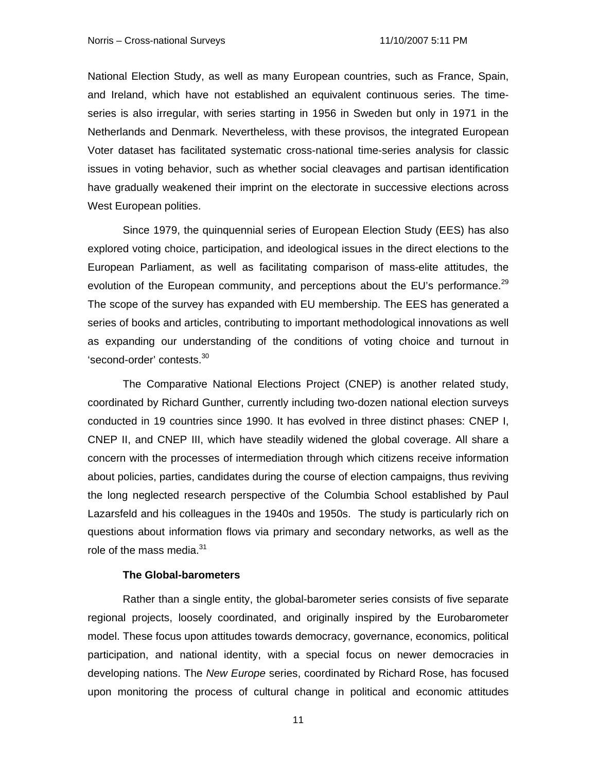National Election Study, as well as many European countries, such as France, Spain, and Ireland, which have not established an equivalent continuous series. The timeseries is also irregular, with series starting in 1956 in Sweden but only in 1971 in the Netherlands and Denmark. Nevertheless, with these provisos, the integrated European Voter dataset has facilitated systematic cross-national time-series analysis for classic issues in voting behavior, such as whether social cleavages and partisan identification have gradually weakened their imprint on the electorate in successive elections across West European polities.

Since 1979, the quinquennial series of European Election Study (EES) has also explored voting choice, participation, and ideological issues in the direct elections to the European Parliament, as well as facilitating comparison of mass-elite attitudes, the evolution of the European community, and perceptions about the EU's performance.<sup>29</sup> The scope of the survey has expanded with EU membership. The EES has generated a series of books and articles, contributing to important methodological innovations as well as expanding our understanding of the conditions of voting choice and turnout in 'second-order' contests.<sup>30</sup>

The Comparative National Elections Project (CNEP) is another related study, coordinated by Richard Gunther, currently including two-dozen national election surveys conducted in 19 countries since 1990. It has evolved in three distinct phases: CNEP I, CNEP II, and CNEP III, which have steadily widened the global coverage. All share a concern with the processes of intermediation through which citizens receive information about policies, parties, candidates during the course of election campaigns, thus reviving the long neglected research perspective of the Columbia School established by Paul Lazarsfeld and his colleagues in the 1940s and 1950s. The study is particularly rich on questions about information flows via primary and secondary networks, as well as the role of the mass media.<sup>31</sup>

## **The Global-barometers**

Rather than a single entity, the global-barometer series consists of five separate regional projects, loosely coordinated, and originally inspired by the Eurobarometer model. These focus upon attitudes towards democracy, governance, economics, political participation, and national identity, with a special focus on newer democracies in developing nations. The *New Europe* series, coordinated by Richard Rose, has focused upon monitoring the process of cultural change in political and economic attitudes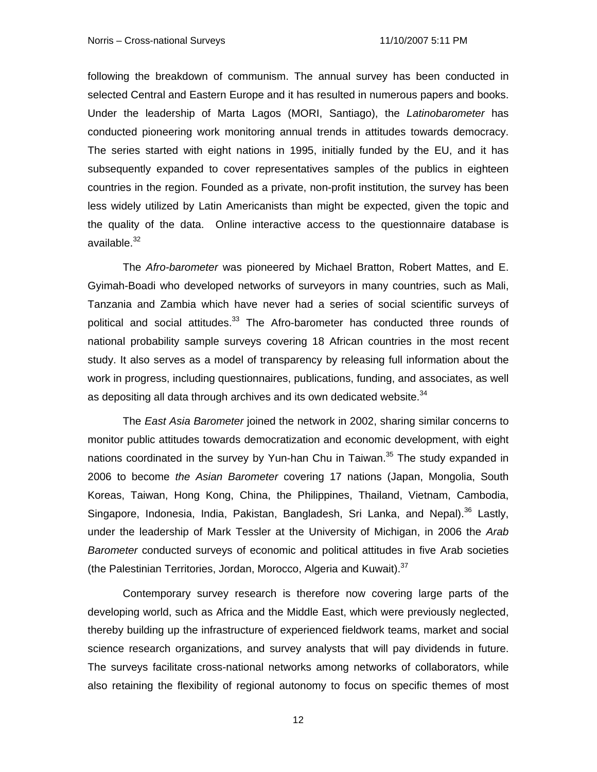following the breakdown of communism. The annual survey has been conducted in selected Central and Eastern Europe and it has resulted in numerous papers and books. Under the leadership of Marta Lagos (MORI, Santiago), the *Latinobarometer* has conducted pioneering work monitoring annual trends in attitudes towards democracy. The series started with eight nations in 1995, initially funded by the EU, and it has subsequently expanded to cover representatives samples of the publics in eighteen countries in the region. Founded as a private, non-profit institution, the survey has been less widely utilized by Latin Americanists than might be expected, given the topic and the quality of the data. Online interactive access to the questionnaire database is available.<sup>32</sup>

The *Afro-barometer* was pioneered by Michael Bratton, Robert Mattes, and E. Gyimah-Boadi who developed networks of surveyors in many countries, such as Mali, Tanzania and Zambia which have never had a series of social scientific surveys of political and social attitudes.<sup>33</sup> The Afro-barometer has conducted three rounds of national probability sample surveys covering 18 African countries in the most recent study. It also serves as a model of transparency by releasing full information about the work in progress, including questionnaires, publications, funding, and associates, as well as depositing all data through archives and its own dedicated website. $34$ 

The *East Asia Barometer* joined the network in 2002, sharing similar concerns to monitor public attitudes towards democratization and economic development, with eight nations coordinated in the survey by Yun-han Chu in Taiwan.<sup>35</sup> The study expanded in 2006 to become *the Asian Barometer* covering 17 nations (Japan, Mongolia, South Koreas, Taiwan, Hong Kong, China, the Philippines, Thailand, Vietnam, Cambodia, Singapore, Indonesia, India, Pakistan, Bangladesh, Sri Lanka, and Nepal).<sup>36</sup> Lastly, under the leadership of Mark Tessler at the University of Michigan, in 2006 the *Arab Barometer* conducted surveys of economic and political attitudes in five Arab societies (the Palestinian Territories, Jordan, Morocco, Algeria and Kuwait). $37$ 

Contemporary survey research is therefore now covering large parts of the developing world, such as Africa and the Middle East, which were previously neglected, thereby building up the infrastructure of experienced fieldwork teams, market and social science research organizations, and survey analysts that will pay dividends in future. The surveys facilitate cross-national networks among networks of collaborators, while also retaining the flexibility of regional autonomy to focus on specific themes of most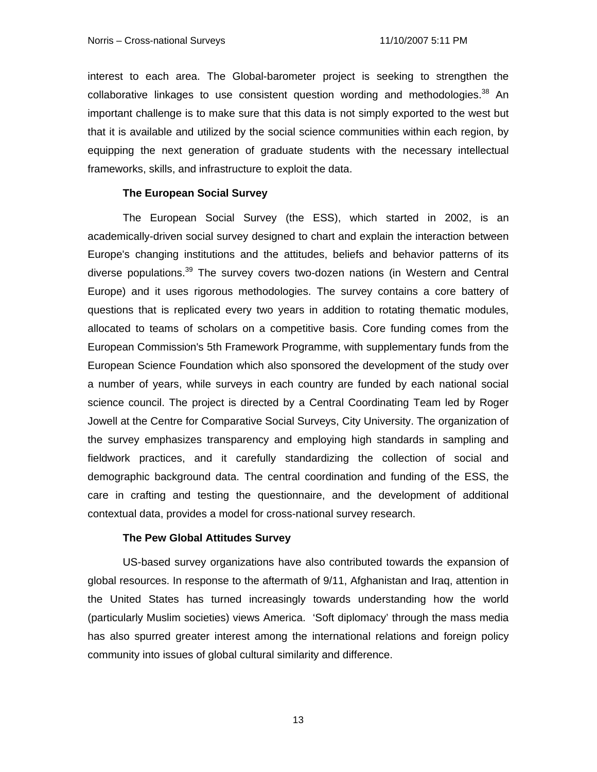interest to each area. The Global-barometer project is seeking to strengthen the collaborative linkages to use consistent question wording and methodologies. $38$  An important challenge is to make sure that this data is not simply exported to the west but that it is available and utilized by the social science communities within each region, by equipping the next generation of graduate students with the necessary intellectual frameworks, skills, and infrastructure to exploit the data.

### **The European Social Survey**

The European Social Survey (the ESS), which started in 2002, is an academically-driven social survey designed to chart and explain the interaction between Europe's changing institutions and the attitudes, beliefs and behavior patterns of its diverse populations.<sup>39</sup> The survey covers two-dozen nations (in Western and Central Europe) and it uses rigorous methodologies. The survey contains a core battery of questions that is replicated every two years in addition to rotating thematic modules, allocated to teams of scholars on a competitive basis. Core funding comes from the European Commission's 5th Framework Programme, with supplementary funds from the European Science Foundation which also sponsored the development of the study over a number of years, while surveys in each country are funded by each national social science council. The project is directed by a Central Coordinating Team led by Roger Jowell at the Centre for Comparative Social Surveys, City University. The organization of the survey emphasizes transparency and employing high standards in sampling and fieldwork practices, and it carefully standardizing the collection of social and demographic background data. The central coordination and funding of the ESS, the care in crafting and testing the questionnaire, and the development of additional contextual data, provides a model for cross-national survey research.

#### **The Pew Global Attitudes Survey**

US-based survey organizations have also contributed towards the expansion of global resources. In response to the aftermath of 9/11, Afghanistan and Iraq, attention in the United States has turned increasingly towards understanding how the world (particularly Muslim societies) views America. 'Soft diplomacy' through the mass media has also spurred greater interest among the international relations and foreign policy community into issues of global cultural similarity and difference.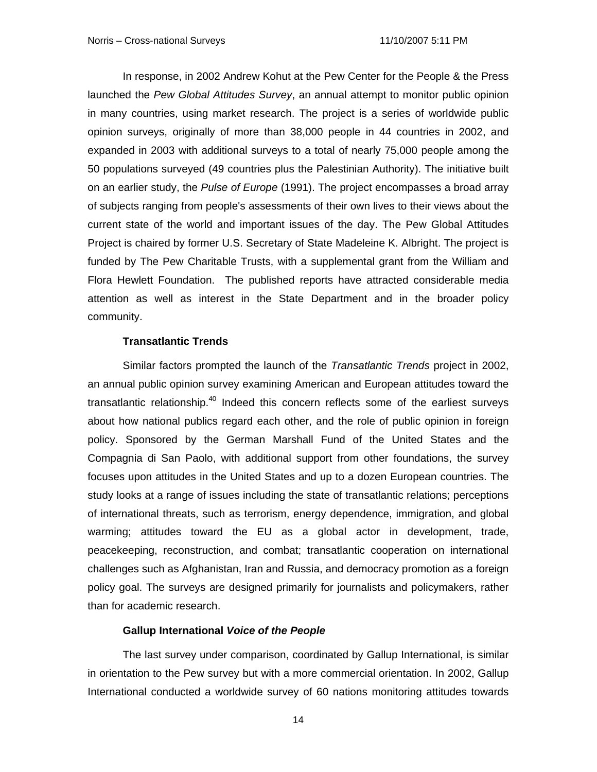In response, in 2002 Andrew Kohut at the Pew Center for the People & the Press launched the *Pew Global Attitudes Survey*, an annual attempt to monitor public opinion in many countries, using market research. The project is a series of worldwide public opinion surveys, originally of more than 38,000 people in 44 countries in 2002, and expanded in 2003 with additional surveys to a total of nearly 75,000 people among the 50 populations surveyed (49 countries plus the Palestinian Authority). The initiative built on an earlier study, the *Pulse of Europe* (1991). The project encompasses a broad array of subjects ranging from people's assessments of their own lives to their views about the current state of the world and important issues of the day. The Pew Global Attitudes Project is chaired by former U.S. Secretary of State Madeleine K. Albright. The project is funded by The Pew Charitable Trusts, with a supplemental grant from the William and Flora Hewlett Foundation. The published reports have attracted considerable media attention as well as interest in the State Department and in the broader policy community.

#### **Transatlantic Trends**

Similar factors prompted the launch of the *Transatlantic Trends* project in 2002, an annual public opinion survey examining American and European attitudes toward the transatlantic relationship.<sup>40</sup> Indeed this concern reflects some of the earliest surveys about how national publics regard each other, and the role of public opinion in foreign policy. Sponsored by the German Marshall Fund of the United States and the Compagnia di San Paolo, with additional support from other foundations, the survey focuses upon attitudes in the United States and up to a dozen European countries. The study looks at a range of issues including the state of transatlantic relations; perceptions of international threats, such as terrorism, energy dependence, immigration, and global warming; attitudes toward the EU as a global actor in development, trade, peacekeeping, reconstruction, and combat; transatlantic cooperation on international challenges such as Afghanistan, Iran and Russia, and democracy promotion as a foreign policy goal. The surveys are designed primarily for journalists and policymakers, rather than for academic research.

## **Gallup International** *Voice of the People*

The last survey under comparison, coordinated by Gallup International, is similar in orientation to the Pew survey but with a more commercial orientation. In 2002, Gallup International conducted a worldwide survey of 60 nations monitoring attitudes towards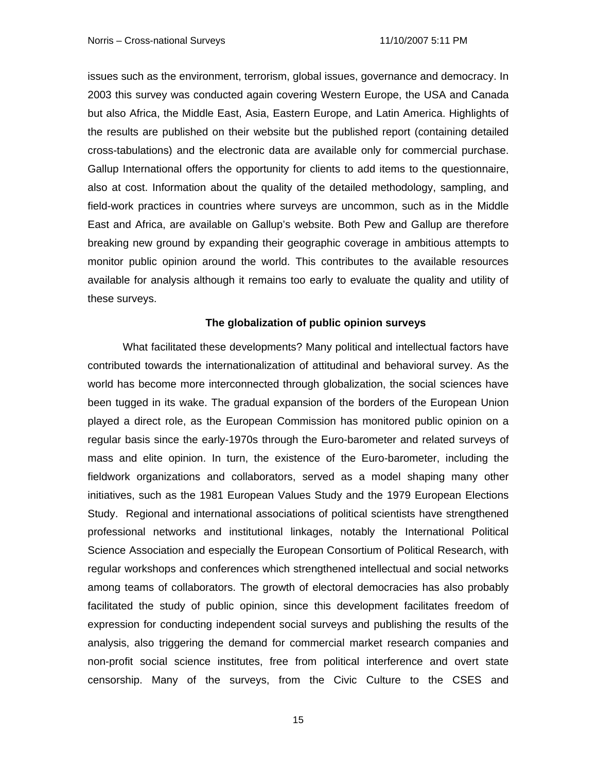issues such as the environment, terrorism, global issues, governance and democracy. In 2003 this survey was conducted again covering Western Europe, the USA and Canada but also Africa, the Middle East, Asia, Eastern Europe, and Latin America. Highlights of the results are published on their website but the published report (containing detailed cross-tabulations) and the electronic data are available only for commercial purchase. Gallup International offers the opportunity for clients to add items to the questionnaire, also at cost. Information about the quality of the detailed methodology, sampling, and field-work practices in countries where surveys are uncommon, such as in the Middle East and Africa, are available on Gallup's website. Both Pew and Gallup are therefore breaking new ground by expanding their geographic coverage in ambitious attempts to monitor public opinion around the world. This contributes to the available resources available for analysis although it remains too early to evaluate the quality and utility of these surveys.

## **The globalization of public opinion surveys**

What facilitated these developments? Many political and intellectual factors have contributed towards the internationalization of attitudinal and behavioral survey. As the world has become more interconnected through globalization, the social sciences have been tugged in its wake. The gradual expansion of the borders of the European Union played a direct role, as the European Commission has monitored public opinion on a regular basis since the early-1970s through the Euro-barometer and related surveys of mass and elite opinion. In turn, the existence of the Euro-barometer, including the fieldwork organizations and collaborators, served as a model shaping many other initiatives, such as the 1981 European Values Study and the 1979 European Elections Study. Regional and international associations of political scientists have strengthened professional networks and institutional linkages, notably the International Political Science Association and especially the European Consortium of Political Research, with regular workshops and conferences which strengthened intellectual and social networks among teams of collaborators. The growth of electoral democracies has also probably facilitated the study of public opinion, since this development facilitates freedom of expression for conducting independent social surveys and publishing the results of the analysis, also triggering the demand for commercial market research companies and non-profit social science institutes, free from political interference and overt state censorship. Many of the surveys, from the Civic Culture to the CSES and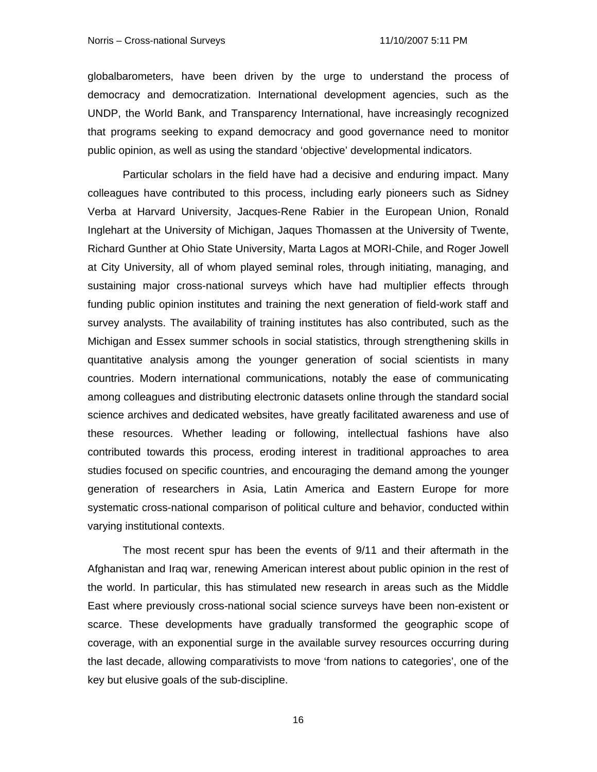globalbarometers, have been driven by the urge to understand the process of democracy and democratization. International development agencies, such as the UNDP, the World Bank, and Transparency International, have increasingly recognized that programs seeking to expand democracy and good governance need to monitor public opinion, as well as using the standard 'objective' developmental indicators.

Particular scholars in the field have had a decisive and enduring impact. Many colleagues have contributed to this process, including early pioneers such as Sidney Verba at Harvard University, Jacques-Rene Rabier in the European Union, Ronald Inglehart at the University of Michigan, Jaques Thomassen at the University of Twente, Richard Gunther at Ohio State University, Marta Lagos at MORI-Chile, and Roger Jowell at City University, all of whom played seminal roles, through initiating, managing, and sustaining major cross-national surveys which have had multiplier effects through funding public opinion institutes and training the next generation of field-work staff and survey analysts. The availability of training institutes has also contributed, such as the Michigan and Essex summer schools in social statistics, through strengthening skills in quantitative analysis among the younger generation of social scientists in many countries. Modern international communications, notably the ease of communicating among colleagues and distributing electronic datasets online through the standard social science archives and dedicated websites, have greatly facilitated awareness and use of these resources. Whether leading or following, intellectual fashions have also contributed towards this process, eroding interest in traditional approaches to area studies focused on specific countries, and encouraging the demand among the younger generation of researchers in Asia, Latin America and Eastern Europe for more systematic cross-national comparison of political culture and behavior, conducted within varying institutional contexts.

The most recent spur has been the events of 9/11 and their aftermath in the Afghanistan and Iraq war, renewing American interest about public opinion in the rest of the world. In particular, this has stimulated new research in areas such as the Middle East where previously cross-national social science surveys have been non-existent or scarce. These developments have gradually transformed the geographic scope of coverage, with an exponential surge in the available survey resources occurring during the last decade, allowing comparativists to move 'from nations to categories', one of the key but elusive goals of the sub-discipline.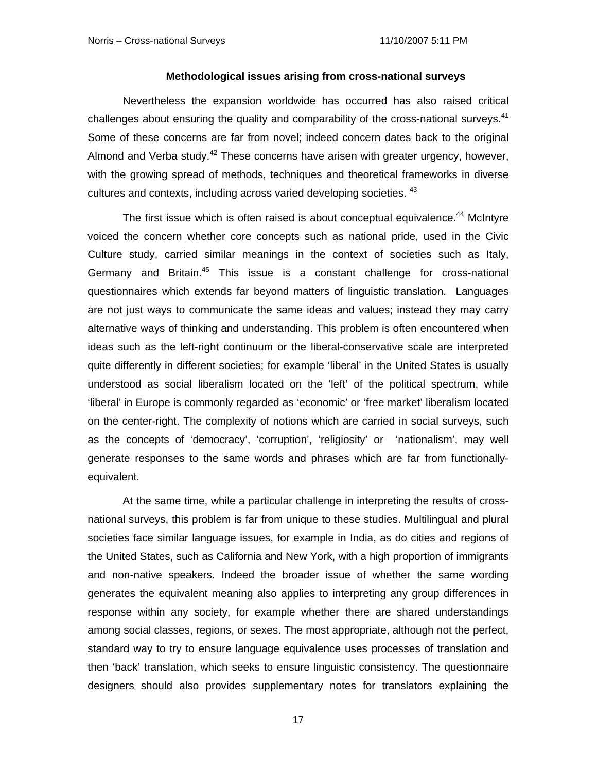### **Methodological issues arising from cross-national surveys**

Nevertheless the expansion worldwide has occurred has also raised critical challenges about ensuring the quality and comparability of the cross-national surveys. $41$ Some of these concerns are far from novel; indeed concern dates back to the original Almond and Verba study.<sup>42</sup> These concerns have arisen with greater urgency, however, with the growing spread of methods, techniques and theoretical frameworks in diverse cultures and contexts, including across varied developing societies. <sup>43</sup>

The first issue which is often raised is about conceptual equivalence.<sup>44</sup> McIntyre voiced the concern whether core concepts such as national pride, used in the Civic Culture study, carried similar meanings in the context of societies such as Italy, Germany and Britain.<sup>45</sup> This issue is a constant challenge for cross-national questionnaires which extends far beyond matters of linguistic translation. Languages are not just ways to communicate the same ideas and values; instead they may carry alternative ways of thinking and understanding. This problem is often encountered when ideas such as the left-right continuum or the liberal-conservative scale are interpreted quite differently in different societies; for example 'liberal' in the United States is usually understood as social liberalism located on the 'left' of the political spectrum, while 'liberal' in Europe is commonly regarded as 'economic' or 'free market' liberalism located on the center-right. The complexity of notions which are carried in social surveys, such as the concepts of 'democracy', 'corruption', 'religiosity' or 'nationalism', may well generate responses to the same words and phrases which are far from functionallyequivalent.

At the same time, while a particular challenge in interpreting the results of crossnational surveys, this problem is far from unique to these studies. Multilingual and plural societies face similar language issues, for example in India, as do cities and regions of the United States, such as California and New York, with a high proportion of immigrants and non-native speakers. Indeed the broader issue of whether the same wording generates the equivalent meaning also applies to interpreting any group differences in response within any society, for example whether there are shared understandings among social classes, regions, or sexes. The most appropriate, although not the perfect, standard way to try to ensure language equivalence uses processes of translation and then 'back' translation, which seeks to ensure linguistic consistency. The questionnaire designers should also provides supplementary notes for translators explaining the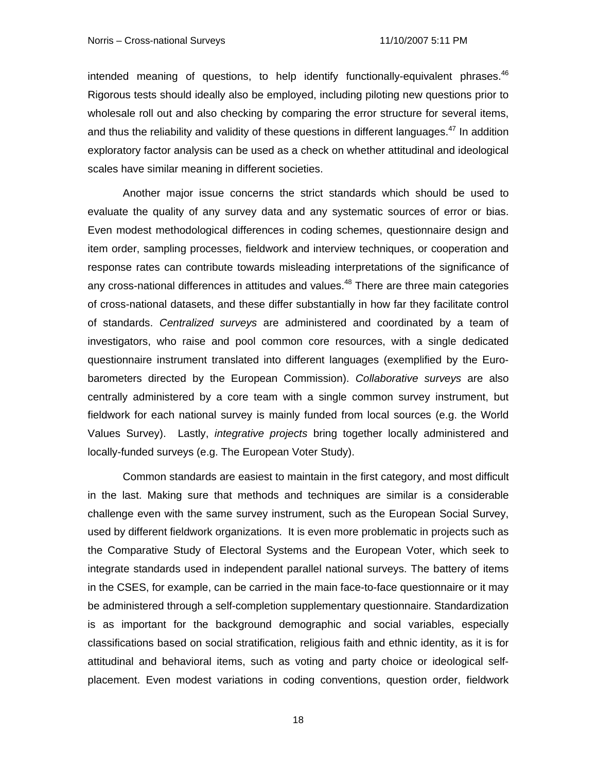intended meaning of questions, to help identify functionally-equivalent phrases.<sup>46</sup> Rigorous tests should ideally also be employed, including piloting new questions prior to wholesale roll out and also checking by comparing the error structure for several items, and thus the reliability and validity of these questions in different languages.<sup>47</sup> In addition exploratory factor analysis can be used as a check on whether attitudinal and ideological scales have similar meaning in different societies.

Another major issue concerns the strict standards which should be used to evaluate the quality of any survey data and any systematic sources of error or bias. Even modest methodological differences in coding schemes, questionnaire design and item order, sampling processes, fieldwork and interview techniques, or cooperation and response rates can contribute towards misleading interpretations of the significance of any cross-national differences in attitudes and values.<sup>48</sup> There are three main categories of cross-national datasets, and these differ substantially in how far they facilitate control of standards. *Centralized surveys* are administered and coordinated by a team of investigators, who raise and pool common core resources, with a single dedicated questionnaire instrument translated into different languages (exemplified by the Eurobarometers directed by the European Commission). *Collaborative surveys* are also centrally administered by a core team with a single common survey instrument, but fieldwork for each national survey is mainly funded from local sources (e.g. the World Values Survey). Lastly, *integrative projects* bring together locally administered and locally-funded surveys (e.g. The European Voter Study).

Common standards are easiest to maintain in the first category, and most difficult in the last. Making sure that methods and techniques are similar is a considerable challenge even with the same survey instrument, such as the European Social Survey, used by different fieldwork organizations. It is even more problematic in projects such as the Comparative Study of Electoral Systems and the European Voter, which seek to integrate standards used in independent parallel national surveys. The battery of items in the CSES, for example, can be carried in the main face-to-face questionnaire or it may be administered through a self-completion supplementary questionnaire. Standardization is as important for the background demographic and social variables, especially classifications based on social stratification, religious faith and ethnic identity, as it is for attitudinal and behavioral items, such as voting and party choice or ideological selfplacement. Even modest variations in coding conventions, question order, fieldwork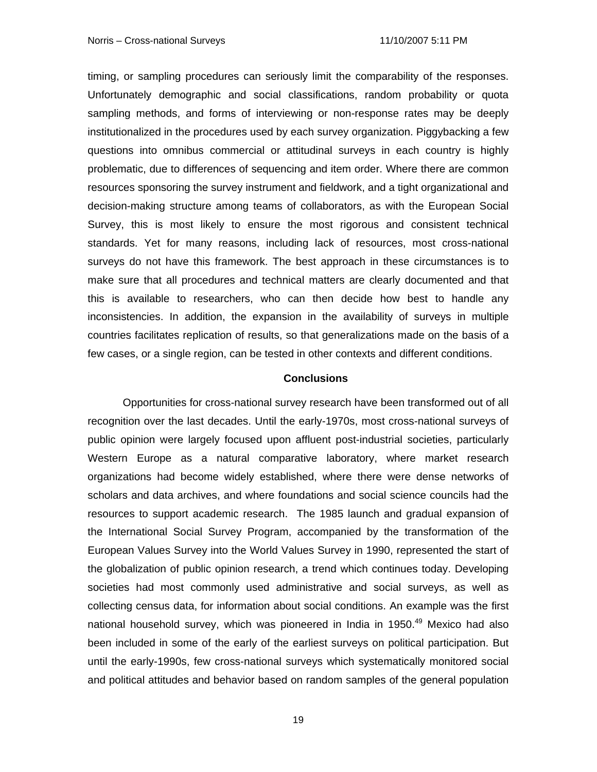timing, or sampling procedures can seriously limit the comparability of the responses. Unfortunately demographic and social classifications, random probability or quota sampling methods, and forms of interviewing or non-response rates may be deeply institutionalized in the procedures used by each survey organization. Piggybacking a few questions into omnibus commercial or attitudinal surveys in each country is highly problematic, due to differences of sequencing and item order. Where there are common resources sponsoring the survey instrument and fieldwork, and a tight organizational and decision-making structure among teams of collaborators, as with the European Social Survey, this is most likely to ensure the most rigorous and consistent technical standards. Yet for many reasons, including lack of resources, most cross-national surveys do not have this framework. The best approach in these circumstances is to make sure that all procedures and technical matters are clearly documented and that this is available to researchers, who can then decide how best to handle any inconsistencies. In addition, the expansion in the availability of surveys in multiple countries facilitates replication of results, so that generalizations made on the basis of a few cases, or a single region, can be tested in other contexts and different conditions.

#### **Conclusions**

Opportunities for cross-national survey research have been transformed out of all recognition over the last decades. Until the early-1970s, most cross-national surveys of public opinion were largely focused upon affluent post-industrial societies, particularly Western Europe as a natural comparative laboratory, where market research organizations had become widely established, where there were dense networks of scholars and data archives, and where foundations and social science councils had the resources to support academic research. The 1985 launch and gradual expansion of the International Social Survey Program, accompanied by the transformation of the European Values Survey into the World Values Survey in 1990, represented the start of the globalization of public opinion research, a trend which continues today. Developing societies had most commonly used administrative and social surveys, as well as collecting census data, for information about social conditions. An example was the first national household survey, which was pioneered in India in 1950.<sup>49</sup> Mexico had also been included in some of the early of the earliest surveys on political participation. But until the early-1990s, few cross-national surveys which systematically monitored social and political attitudes and behavior based on random samples of the general population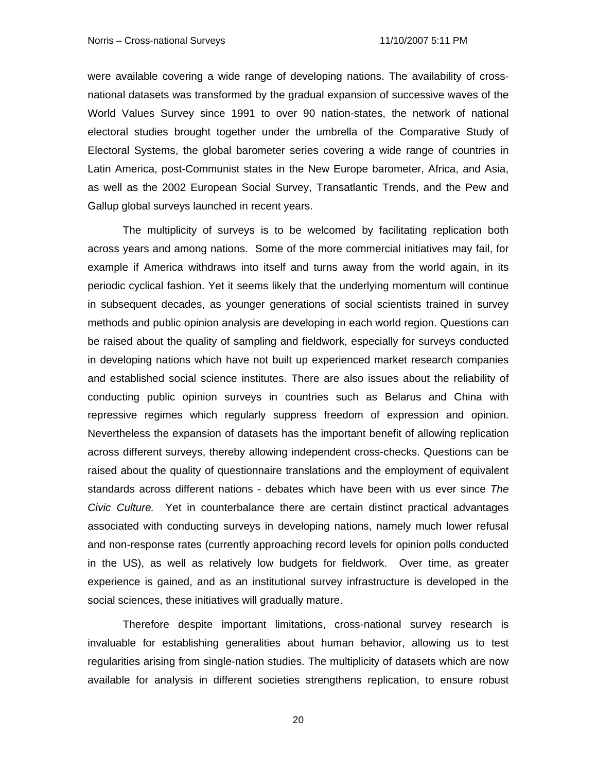were available covering a wide range of developing nations. The availability of crossnational datasets was transformed by the gradual expansion of successive waves of the World Values Survey since 1991 to over 90 nation-states, the network of national electoral studies brought together under the umbrella of the Comparative Study of Electoral Systems, the global barometer series covering a wide range of countries in Latin America, post-Communist states in the New Europe barometer, Africa, and Asia, as well as the 2002 European Social Survey, Transatlantic Trends, and the Pew and Gallup global surveys launched in recent years.

The multiplicity of surveys is to be welcomed by facilitating replication both across years and among nations. Some of the more commercial initiatives may fail, for example if America withdraws into itself and turns away from the world again, in its periodic cyclical fashion. Yet it seems likely that the underlying momentum will continue in subsequent decades, as younger generations of social scientists trained in survey methods and public opinion analysis are developing in each world region. Questions can be raised about the quality of sampling and fieldwork, especially for surveys conducted in developing nations which have not built up experienced market research companies and established social science institutes. There are also issues about the reliability of conducting public opinion surveys in countries such as Belarus and China with repressive regimes which regularly suppress freedom of expression and opinion. Nevertheless the expansion of datasets has the important benefit of allowing replication across different surveys, thereby allowing independent cross-checks. Questions can be raised about the quality of questionnaire translations and the employment of equivalent standards across different nations - debates which have been with us ever since *The Civic Culture.* Yet in counterbalance there are certain distinct practical advantages associated with conducting surveys in developing nations, namely much lower refusal and non-response rates (currently approaching record levels for opinion polls conducted in the US), as well as relatively low budgets for fieldwork. Over time, as greater experience is gained, and as an institutional survey infrastructure is developed in the social sciences, these initiatives will gradually mature.

Therefore despite important limitations, cross-national survey research is invaluable for establishing generalities about human behavior, allowing us to test regularities arising from single-nation studies. The multiplicity of datasets which are now available for analysis in different societies strengthens replication, to ensure robust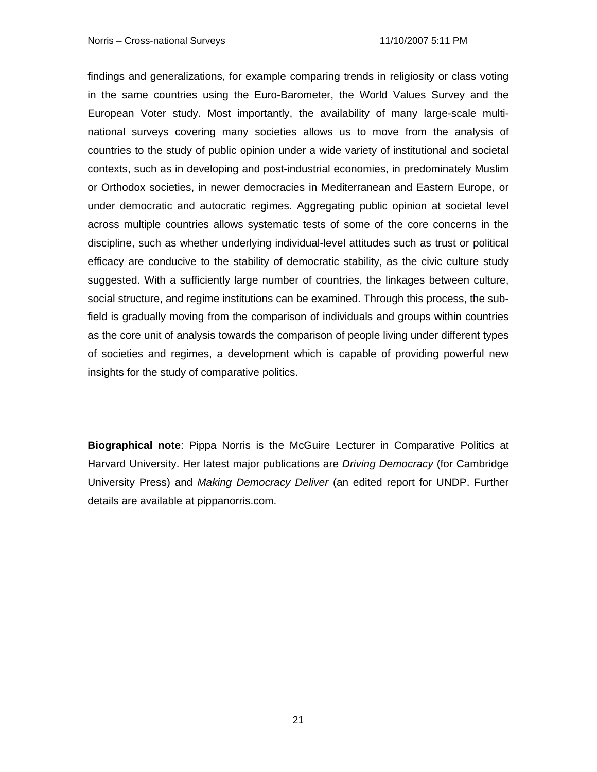findings and generalizations, for example comparing trends in religiosity or class voting in the same countries using the Euro-Barometer, the World Values Survey and the European Voter study. Most importantly, the availability of many large-scale multinational surveys covering many societies allows us to move from the analysis of countries to the study of public opinion under a wide variety of institutional and societal contexts, such as in developing and post-industrial economies, in predominately Muslim or Orthodox societies, in newer democracies in Mediterranean and Eastern Europe, or under democratic and autocratic regimes. Aggregating public opinion at societal level across multiple countries allows systematic tests of some of the core concerns in the discipline, such as whether underlying individual-level attitudes such as trust or political efficacy are conducive to the stability of democratic stability, as the civic culture study suggested. With a sufficiently large number of countries, the linkages between culture, social structure, and regime institutions can be examined. Through this process, the subfield is gradually moving from the comparison of individuals and groups within countries as the core unit of analysis towards the comparison of people living under different types of societies and regimes, a development which is capable of providing powerful new insights for the study of comparative politics.

**Biographical note**: Pippa Norris is the McGuire Lecturer in Comparative Politics at Harvard University. Her latest major publications are *Driving Democracy* (for Cambridge University Press) and *Making Democracy Deliver* (an edited report for UNDP. Further details are available at pippanorris.com.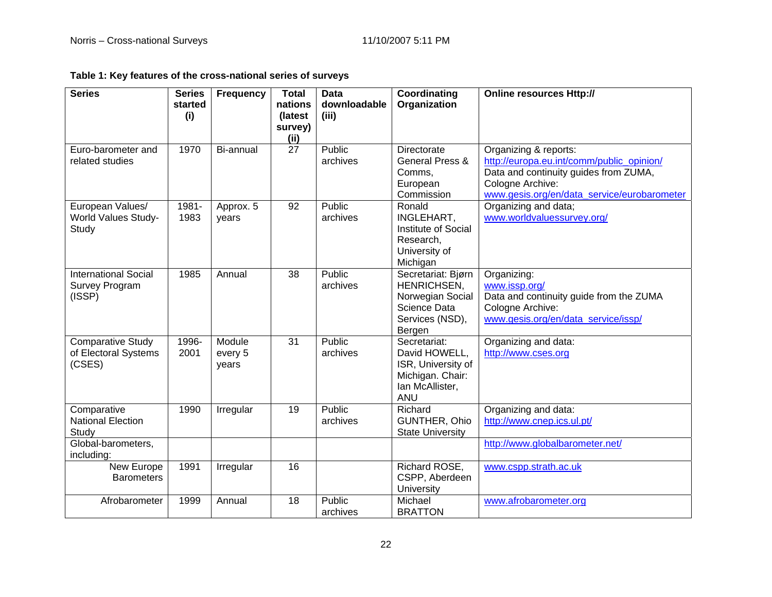## **Table 1: Key features of the cross-national series of surveys**

| <b>Series</b>                                                  | <b>Series</b><br>started<br>(i) | <b>Frequency</b>           | <b>Total</b><br>nations<br>(latest<br>survey) | <b>Data</b><br>downloadable<br>(iii) | Coordinating<br>Organization                                                                             | <b>Online resources Http://</b>                                                                                                                                                |
|----------------------------------------------------------------|---------------------------------|----------------------------|-----------------------------------------------|--------------------------------------|----------------------------------------------------------------------------------------------------------|--------------------------------------------------------------------------------------------------------------------------------------------------------------------------------|
| Euro-barometer and<br>related studies                          | 1970                            | Bi-annual                  | (ii)<br>$\overline{27}$                       | Public<br>archives                   | Directorate<br>General Press &<br>Comms.<br>European<br>Commission                                       | Organizing & reports:<br>http://europa.eu.int/comm/public_opinion/<br>Data and continuity guides from ZUMA,<br>Cologne Archive:<br>www.gesis.org/en/data_service/eurobarometer |
| European Values/<br><b>World Values Study-</b><br>Study        | 1981-<br>1983                   | Approx. 5<br>years         | $\overline{92}$                               | Public<br>archives                   | Ronald<br>INGLEHART,<br>Institute of Social<br>Research,<br>University of<br>Michigan                    | Organizing and data;<br>www.worldvaluessurvey.org/                                                                                                                             |
| <b>International Social</b><br><b>Survey Program</b><br>(ISSP) | 1985                            | Annual                     | $\overline{38}$                               | Public<br>archives                   | Secretariat: Bjørn<br>HENRICHSEN,<br>Norwegian Social<br>Science Data<br>Services (NSD),<br>Bergen       | Organizing:<br>www.issp.org/<br>Data and continuity guide from the ZUMA<br>Cologne Archive:<br>www.gesis.org/en/data_service/issp/                                             |
| <b>Comparative Study</b><br>of Electoral Systems<br>(CSES)     | 1996-<br>2001                   | Module<br>every 5<br>years | $\overline{31}$                               | Public<br>archives                   | Secretariat:<br>David HOWELL,<br>ISR, University of<br>Michigan. Chair:<br>lan McAllister,<br><b>ANU</b> | Organizing and data:<br>http://www.cses.org                                                                                                                                    |
| Comparative<br><b>National Election</b><br>Study               | 1990                            | Irregular                  | 19                                            | Public<br>archives                   | Richard<br>GUNTHER, Ohio<br><b>State University</b>                                                      | Organizing and data:<br>http://www.cnep.ics.ul.pt/                                                                                                                             |
| Global-barometers,<br>including:                               |                                 |                            |                                               |                                      |                                                                                                          | http://www.globalbarometer.net/                                                                                                                                                |
| New Europe<br><b>Barometers</b>                                | 1991                            | Irregular                  | 16                                            |                                      | Richard ROSE,<br>CSPP, Aberdeen<br>University                                                            | www.cspp.strath.ac.uk                                                                                                                                                          |
| Afrobarometer                                                  | 1999                            | Annual                     | 18                                            | Public<br>archives                   | Michael<br><b>BRATTON</b>                                                                                | www.afrobarometer.org                                                                                                                                                          |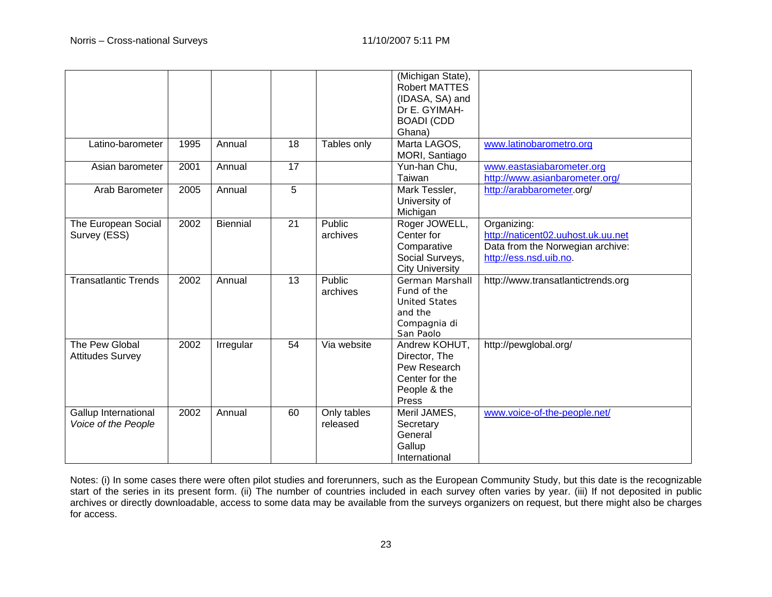|                                             |      |                 |                 |                         | (Michigan State),<br><b>Robert MATTES</b><br>(IDASA, SA) and<br>Dr E. GYIMAH-<br><b>BOADI (CDD</b><br>Ghana) |                                                                                                                 |
|---------------------------------------------|------|-----------------|-----------------|-------------------------|--------------------------------------------------------------------------------------------------------------|-----------------------------------------------------------------------------------------------------------------|
| Latino-barometer                            | 1995 | Annual          | 18              | Tables only             | Marta LAGOS,<br>MORI, Santiago                                                                               | www.latinobarometro.org                                                                                         |
| Asian barometer                             | 2001 | Annual          | 17              |                         | Yun-han Chu,<br>Taiwan                                                                                       | www.eastasiabarometer.org<br>http://www.asianbarometer.org/                                                     |
| Arab Barometer                              | 2005 | Annual          | 5               |                         | Mark Tessler,<br>University of<br>Michigan                                                                   | http://arabbarometer.org/                                                                                       |
| The European Social<br>Survey (ESS)         | 2002 | <b>Biennial</b> | $\overline{21}$ | Public<br>archives      | Roger JOWELL,<br>Center for<br>Comparative<br>Social Surveys,<br><b>City University</b>                      | Organizing:<br>http://naticent02.uuhost.uk.uu.net<br>Data from the Norwegian archive:<br>http://ess.nsd.uib.no. |
| <b>Transatlantic Trends</b>                 | 2002 | Annual          | 13              | Public<br>archives      | German Marshall<br>Fund of the<br><b>United States</b><br>and the<br>Compagnia di<br>San Paolo               | http://www.transatlantictrends.org                                                                              |
| The Pew Global<br><b>Attitudes Survey</b>   | 2002 | Irregular       | 54              | Via website             | Andrew KOHUT,<br>Director, The<br>Pew Research<br>Center for the<br>People & the<br>Press                    | http://pewglobal.org/                                                                                           |
| Gallup International<br>Voice of the People | 2002 | Annual          | 60              | Only tables<br>released | Meril JAMES,<br>Secretary<br>General<br>Gallup<br>International                                              | www.voice-of-the-people.net/                                                                                    |

Notes: (i) In some cases there were often pilot studies and forerunners, such as the European Community Study, but this date is the recognizable start of the series in its present form. (ii) The number of countries included in each survey often varies by year. (iii) If not deposited in public archives or directly downloadable, access to some data may be available from the surveys organizers on request, but there might also be charges for access.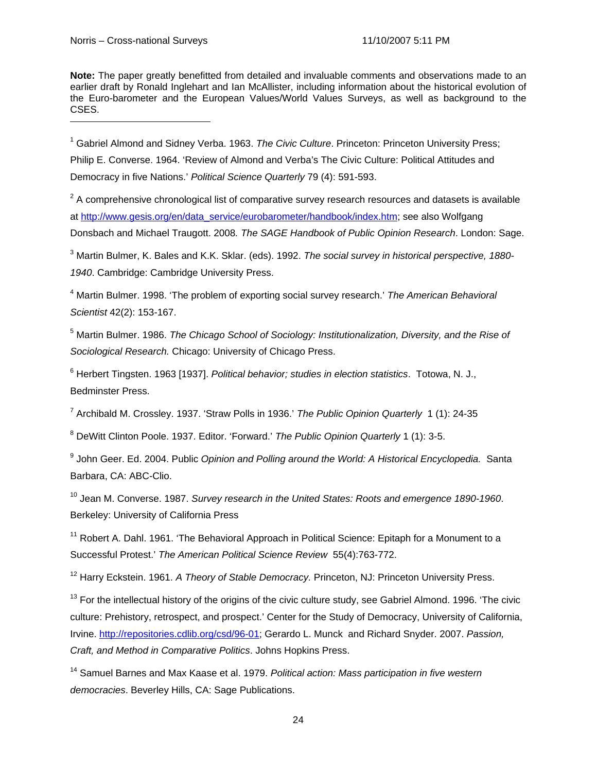**Note:** The paper greatly benefitted from detailed and invaluable comments and observations made to an earlier draft by Ronald Inglehart and Ian McAllister, including information about the historical evolution of the Euro-barometer and the European Values/World Values Surveys, as well as background to the CSES.

<sup>1</sup> Gabriel Almond and Sidney Verba. 1963. *The Civic Culture*. Princeton: Princeton University Press; Philip E. Converse. 1964. 'Review of Almond and Verba's The Civic Culture: Political Attitudes and Democracy in five Nations.' *Political Science Quarterly* 79 (4): 591-593.

 $2$  A comprehensive chronological list of comparative survey research resources and datasets is available at http://www.gesis.org/en/data\_service/eurobarometer/handbook/index.htm; see also Wolfgang Donsbach and Michael Traugott. 2008*. The SAGE Handbook of Public Opinion Research*. London: Sage.

3 Martin Bulmer, K. Bales and K.K. Sklar. (eds). 1992. *The social survey in historical perspective, 1880- 1940*. Cambridge: Cambridge University Press.

4 Martin Bulmer. 1998. 'The problem of exporting social survey research.' *The American Behavioral Scientist* 42(2): 153-167.

5 Martin Bulmer. 1986. *The Chicago School of Sociology: Institutionalization, Diversity, and the Rise of Sociological Research.* Chicago: University of Chicago Press.

6 Herbert Tingsten. 1963 [1937]. *Political behavior; studies in election statistics*. Totowa, N. J., Bedminster Press.

7 Archibald M. Crossley. 1937. 'Straw Polls in 1936.' *The Public Opinion Quarterly* 1 (1): 24-35

8 DeWitt Clinton Poole. 1937. Editor. 'Forward.' *The Public Opinion Quarterly* 1 (1): 3-5.

9 John Geer. Ed. 2004. Public *Opinion and Polling around the World: A Historical Encyclopedia.* Santa Barbara, CA: ABC-Clio.

10 Jean M. Converse. 1987. *Survey research in the United States: Roots and emergence 1890-1960*. Berkeley: University of California Press

 $11$  Robert A. Dahl. 1961. 'The Behavioral Approach in Political Science: Epitaph for a Monument to a Successful Protest.' *The American Political Science Review* 55(4):763-772.

<sup>12</sup> Harry Eckstein. 1961. *A Theory of Stable Democracy.* Princeton, NJ: Princeton University Press.

<sup>13</sup> For the intellectual history of the origins of the civic culture study, see Gabriel Almond. 1996. 'The civic culture: Prehistory, retrospect, and prospect.' Center for the Study of Democracy, University of California, Irvine. http://repositories.cdlib.org/csd/96-01; Gerardo L. Munck and Richard Snyder. 2007. *Passion, Craft, and Method in Comparative Politics*. Johns Hopkins Press.

14 Samuel Barnes and Max Kaase et al. 1979. *Political action: Mass participation in five western democracies*. Beverley Hills, CA: Sage Publications.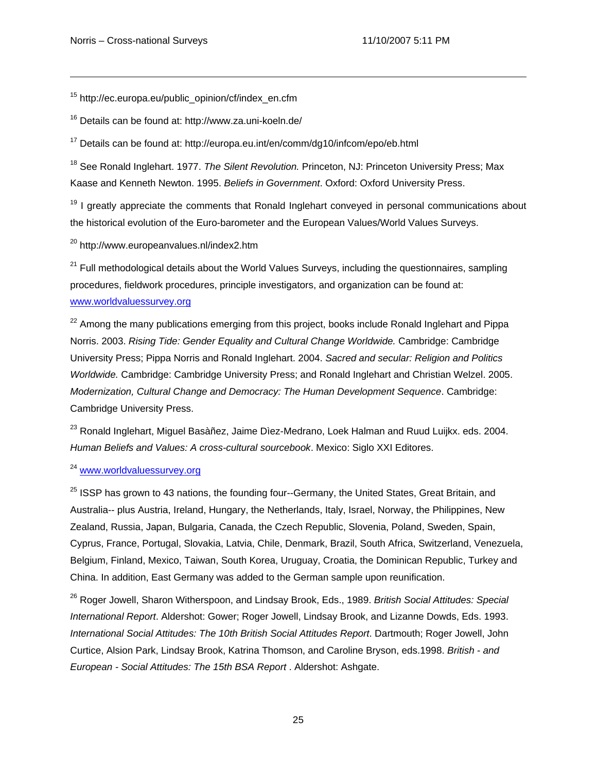15 http://ec.europa.eu/public\_opinion/cf/index\_en.cfm

16 Details can be found at: http://www.za.uni-koeln.de/

 $17$  Details can be found at: http://europa.eu.int/en/comm/dg10/infcom/epo/eb.html

<sup>18</sup> See Ronald Inglehart. 1977. *The Silent Revolution.* Princeton, NJ: Princeton University Press; Max Kaase and Kenneth Newton. 1995. *Beliefs in Government*. Oxford: Oxford University Press.

 $19$  I greatly appreciate the comments that Ronald Inglehart conveyed in personal communications about the historical evolution of the Euro-barometer and the European Values/World Values Surveys.

20 http://www.europeanvalues.nl/index2.htm

 $21$  Full methodological details about the World Values Surveys, including the questionnaires, sampling procedures, fieldwork procedures, principle investigators, and organization can be found at: www.worldvaluessurvey.org

<sup>22</sup> Among the many publications emerging from this project, books include Ronald Inglehart and Pippa Norris. 2003. *Rising Tide: Gender Equality and Cultural Change Worldwide.* Cambridge: Cambridge University Press; Pippa Norris and Ronald Inglehart. 2004. *Sacred and secular: Religion and Politics Worldwide.* Cambridge: Cambridge University Press; and Ronald Inglehart and Christian Welzel. 2005. *Modernization, Cultural Change and Democracy: The Human Development Sequence*. Cambridge: Cambridge University Press.

<sup>23</sup> Ronald Inglehart, Miguel Basàñez, Jaime Dìez-Medrano, Loek Halman and Ruud Luijkx. eds. 2004. *Human Beliefs and Values: A cross-cultural sourcebook*. Mexico: Siglo XXI Editores.

<sup>24</sup> www.worldvaluessurvey.org

 $25$  ISSP has grown to 43 nations, the founding four--Germany, the United States, Great Britain, and Australia-- plus Austria, Ireland, Hungary, the Netherlands, Italy, Israel, Norway, the Philippines, New Zealand, Russia, Japan, Bulgaria, Canada, the Czech Republic, Slovenia, Poland, Sweden, Spain, Cyprus, France, Portugal, Slovakia, Latvia, Chile, Denmark, Brazil, South Africa, Switzerland, Venezuela, Belgium, Finland, Mexico, Taiwan, South Korea, Uruguay, Croatia, the Dominican Republic, Turkey and China. In addition, East Germany was added to the German sample upon reunification.

26 Roger Jowell, Sharon Witherspoon, and Lindsay Brook, Eds., 1989. *British Social Attitudes: Special International Report*. Aldershot: Gower; Roger Jowell, Lindsay Brook, and Lizanne Dowds, Eds. 1993. *International Social Attitudes: The 10th British Social Attitudes Report*. Dartmouth; Roger Jowell, John Curtice, Alsion Park, Lindsay Brook, Katrina Thomson, and Caroline Bryson, eds.1998. *British - and European - Social Attitudes: The 15th BSA Report* . Aldershot: Ashgate.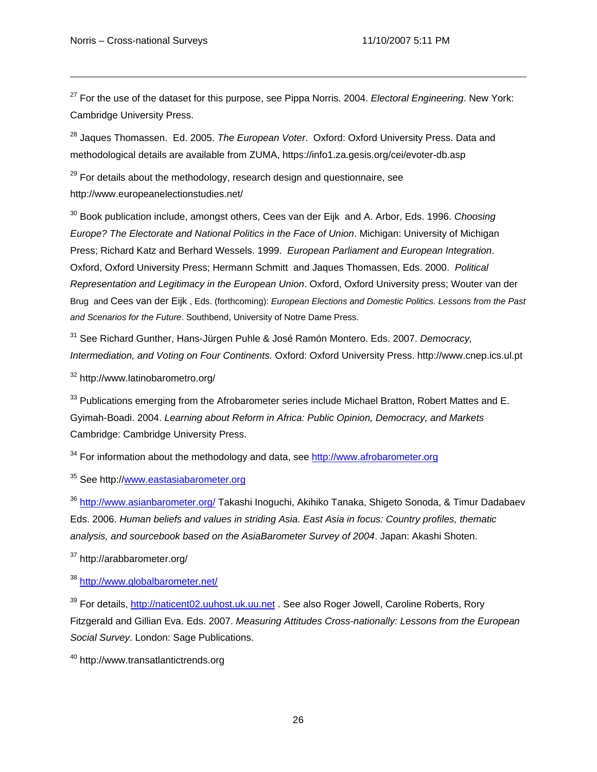27 For the use of the dataset for this purpose, see Pippa Norris. 2004. *Electoral Engineering*. New York: Cambridge University Press.

28 Jaques Thomassen. Ed. 2005. *The European Voter*. Oxford: Oxford University Press. Data and methodological details are available from ZUMA, https://info1.za.gesis.org/cei/evoter-db.asp

 $29$  For details about the methodology, research design and questionnaire, see http://www.europeanelectionstudies.net/

30 Book publication include, amongst others, Cees van der Eijk and A. Arbor, Eds. 1996. *Choosing Europe? The Electorate and National Politics in the Face of Union*. Michigan: University of Michigan Press; Richard Katz and Berhard Wessels. 1999. *European Parliament and European Integration*. Oxford, Oxford University Press; Hermann Schmitt and Jaques Thomassen, Eds. 2000. *Political Representation and Legitimacy in the European Union*. Oxford, Oxford University press; Wouter van der Brug and Cees van der Eijk , Eds. (forthcoming): *European Elections and Domestic Politics. Lessons from the Past and Scenarios for the Future*. Southbend, University of Notre Dame Press.

31 See Richard Gunther, Hans-Jürgen Puhle & José Ramón Montero. Eds. 2007. *Democracy, Intermediation, and Voting on Four Continents.* Oxford: Oxford University Press. http://www.cnep.ics.ul.pt

32 http://www.latinobarometro.org/

 $33$  Publications emerging from the Afrobarometer series include Michael Bratton, Robert Mattes and E. Gyimah-Boadi. 2004. *Learning about Reform in Africa: Public Opinion, Democracy, and Markets* Cambridge: Cambridge University Press.

<sup>34</sup> For information about the methodology and data, see http://www.afrobarometer.org

35 See http://www.eastasiabarometer.org

<sup>36</sup> http://www.asianbarometer.org/ Takashi Inoguchi, Akihiko Tanaka, Shigeto Sonoda, & Timur Dadabaev Eds. 2006. *Human beliefs and values in striding Asia. East Asia in focus: Country profiles, thematic analysis, and sourcebook based on the AsiaBarometer Survey of 2004*. Japan: Akashi Shoten.

37 http://arabbarometer.org/

<sup>38</sup> http://www.globalbarometer.net/

<sup>39</sup> For details, http://naticent02.uuhost.uk.uu.net . See also Roger Jowell, Caroline Roberts, Rory Fitzgerald and Gillian Eva. Eds. 2007. *Measuring Attitudes Cross-nationally: Lessons from the European Social Survey*. London: Sage Publications.

40 http://www.transatlantictrends.org